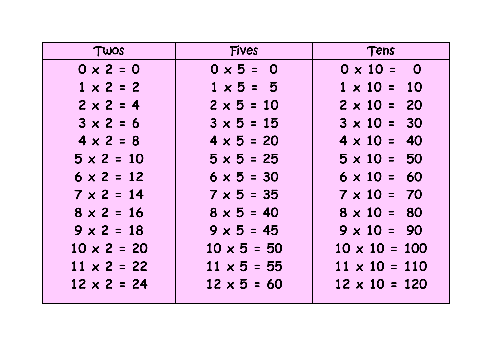| TWOS               | <b>Fives</b>       | Tens                 |  |  |
|--------------------|--------------------|----------------------|--|--|
| $0 \times 2 = 0$   | $0 \times 5 = 0$   | $0 \times 10 = 0$    |  |  |
| $1 \times 2 = 2$   | $1 \times 5 = 5$   | $1 \times 10 = 10$   |  |  |
| $2 \times 2 = 4$   | $2 \times 5 = 10$  | $2 \times 10 = 20$   |  |  |
| $3 \times 2 = 6$   | $3 \times 5 = 15$  | $3 \times 10 = 30$   |  |  |
| $4 \times 2 = 8$   | $4 \times 5 = 20$  | $4 \times 10 = 40$   |  |  |
| $5 \times 2 = 10$  | $5 \times 5 = 25$  | $5 \times 10 = 50$   |  |  |
| $6 \times 2 = 12$  | $6 \times 5 = 30$  | $6 \times 10 = 60$   |  |  |
| $7 \times 2 = 14$  | $7 \times 5 = 35$  | $7 \times 10 = 70$   |  |  |
| $8 \times 2 = 16$  | $8 \times 5 = 40$  | $8 \times 10 = 80$   |  |  |
| $9 \times 2 = 18$  | $9 \times 5 = 45$  | $9 \times 10 = 90$   |  |  |
| $10 \times 2 = 20$ | $10 \times 5 = 50$ | $10 \times 10 = 100$ |  |  |
| $11 \times 2 = 22$ | $11 \times 5 = 55$ | $11 \times 10 = 110$ |  |  |
| $12 \times 2 = 24$ | $12 \times 5 = 60$ | $12 \times 10 = 120$ |  |  |